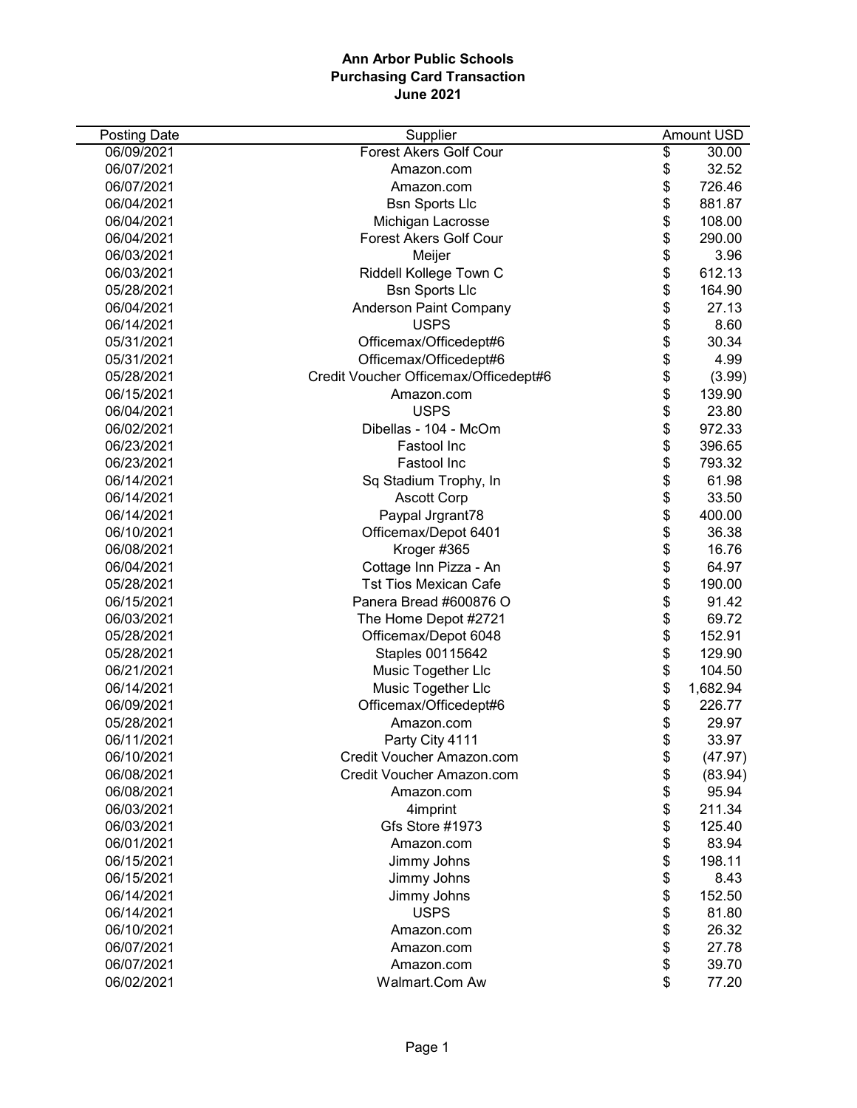| Posting Date | Supplier                              | Amount USD     |
|--------------|---------------------------------------|----------------|
| 06/09/2021   | <b>Forest Akers Golf Cour</b>         | \$<br>30.00    |
| 06/07/2021   | Amazon.com                            | \$<br>32.52    |
| 06/07/2021   | Amazon.com                            | \$<br>726.46   |
| 06/04/2021   | <b>Bsn Sports Llc</b>                 | \$<br>881.87   |
| 06/04/2021   | Michigan Lacrosse                     | \$<br>108.00   |
| 06/04/2021   | <b>Forest Akers Golf Cour</b>         | \$<br>290.00   |
| 06/03/2021   | Meijer                                | \$<br>3.96     |
| 06/03/2021   | Riddell Kollege Town C                | \$<br>612.13   |
| 05/28/2021   | <b>Bsn Sports Llc</b>                 | \$<br>164.90   |
| 06/04/2021   | <b>Anderson Paint Company</b>         | \$<br>27.13    |
| 06/14/2021   | <b>USPS</b>                           | \$<br>8.60     |
| 05/31/2021   | Officemax/Officedept#6                | \$<br>30.34    |
| 05/31/2021   | Officemax/Officedept#6                | \$<br>4.99     |
| 05/28/2021   | Credit Voucher Officemax/Officedept#6 | \$<br>(3.99)   |
| 06/15/2021   | Amazon.com                            | \$<br>139.90   |
| 06/04/2021   | <b>USPS</b>                           | \$<br>23.80    |
| 06/02/2021   | Dibellas - 104 - McOm                 | \$<br>972.33   |
| 06/23/2021   | Fastool Inc                           | \$<br>396.65   |
| 06/23/2021   | Fastool Inc                           | \$<br>793.32   |
| 06/14/2021   | Sq Stadium Trophy, In                 | \$<br>61.98    |
| 06/14/2021   | <b>Ascott Corp</b>                    | \$<br>33.50    |
| 06/14/2021   | Paypal Jrgrant78                      | \$<br>400.00   |
| 06/10/2021   | Officemax/Depot 6401                  | \$<br>36.38    |
| 06/08/2021   | Kroger #365                           | \$<br>16.76    |
| 06/04/2021   | Cottage Inn Pizza - An                | \$<br>64.97    |
| 05/28/2021   | <b>Tst Tios Mexican Cafe</b>          | \$<br>190.00   |
| 06/15/2021   | Panera Bread #600876 O                | \$<br>91.42    |
| 06/03/2021   | The Home Depot #2721                  | \$<br>69.72    |
| 05/28/2021   | Officemax/Depot 6048                  | \$<br>152.91   |
| 05/28/2021   | Staples 00115642                      | \$<br>129.90   |
| 06/21/2021   | Music Together Llc                    | \$<br>104.50   |
| 06/14/2021   | Music Together Llc                    | \$<br>1,682.94 |
| 06/09/2021   | Officemax/Officedept#6                | \$<br>226.77   |
| 05/28/2021   | Amazon.com                            | \$<br>29.97    |
| 06/11/2021   | Party City 4111                       | \$<br>33.97    |
| 06/10/2021   | Credit Voucher Amazon.com             | \$<br>(47.97)  |
| 06/08/2021   | Credit Voucher Amazon.com             | \$<br>(83.94)  |
| 06/08/2021   | Amazon.com                            | \$<br>95.94    |
| 06/03/2021   | 4imprint                              | \$<br>211.34   |
| 06/03/2021   | Gfs Store #1973                       | \$<br>125.40   |
| 06/01/2021   | Amazon.com                            | \$<br>83.94    |
| 06/15/2021   | Jimmy Johns                           | \$<br>198.11   |
| 06/15/2021   | Jimmy Johns                           | \$<br>8.43     |
| 06/14/2021   | Jimmy Johns                           | \$<br>152.50   |
| 06/14/2021   | <b>USPS</b>                           | \$<br>81.80    |
| 06/10/2021   | Amazon.com                            | \$<br>26.32    |
| 06/07/2021   | Amazon.com                            | \$<br>27.78    |
| 06/07/2021   | Amazon.com                            | \$<br>39.70    |
| 06/02/2021   | Walmart.Com Aw                        | \$<br>77.20    |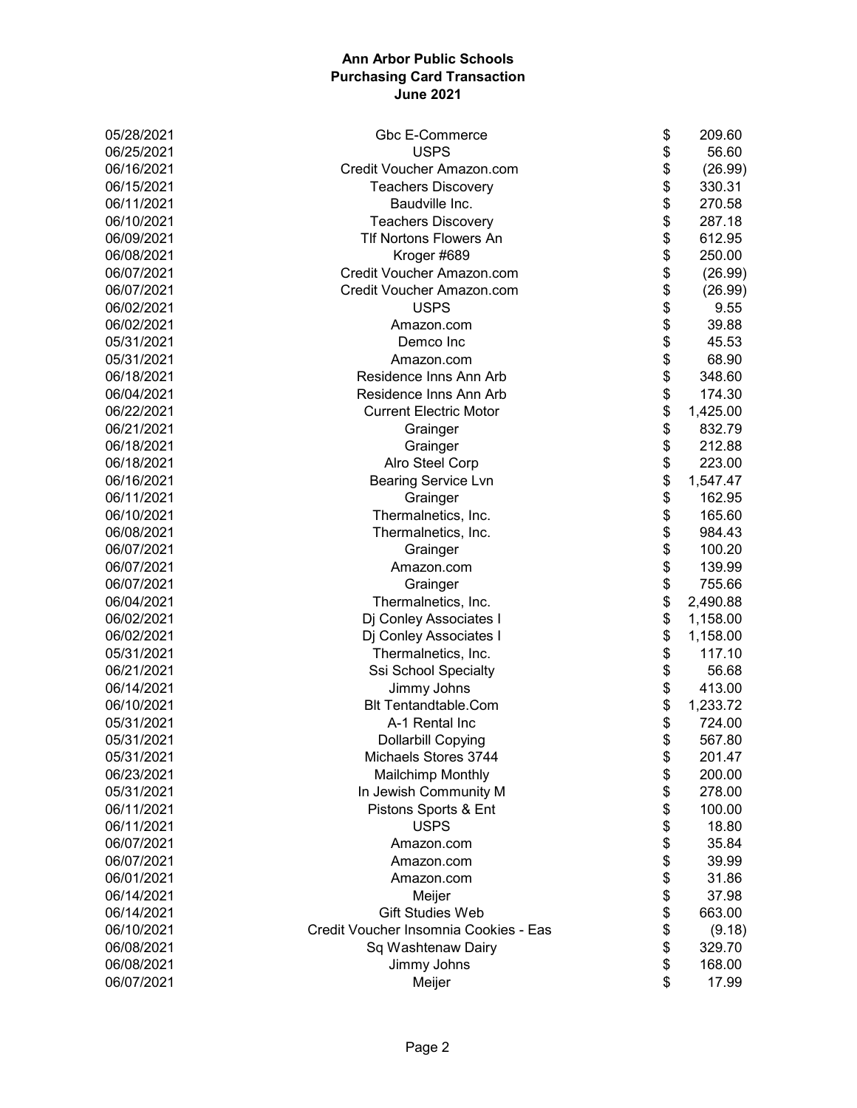| 05/28/2021 | Gbc E-Commerce                        | \$<br>209.60   |
|------------|---------------------------------------|----------------|
| 06/25/2021 | <b>USPS</b>                           | \$<br>56.60    |
| 06/16/2021 | Credit Voucher Amazon.com             | \$<br>(26.99)  |
| 06/15/2021 | <b>Teachers Discovery</b>             | \$<br>330.31   |
| 06/11/2021 | Baudville Inc.                        | \$<br>270.58   |
| 06/10/2021 | <b>Teachers Discovery</b>             | \$<br>287.18   |
| 06/09/2021 | Tlf Nortons Flowers An                | \$<br>612.95   |
| 06/08/2021 | Kroger #689                           | \$<br>250.00   |
| 06/07/2021 | Credit Voucher Amazon.com             | \$<br>(26.99)  |
| 06/07/2021 | Credit Voucher Amazon.com             | \$<br>(26.99)  |
| 06/02/2021 | <b>USPS</b>                           | \$<br>9.55     |
| 06/02/2021 | Amazon.com                            | \$<br>39.88    |
| 05/31/2021 | Demco Inc                             | \$<br>45.53    |
| 05/31/2021 | Amazon.com                            | \$<br>68.90    |
| 06/18/2021 | Residence Inns Ann Arb                | \$<br>348.60   |
| 06/04/2021 | Residence Inns Ann Arb                | \$<br>174.30   |
| 06/22/2021 | <b>Current Electric Motor</b>         | \$<br>1,425.00 |
| 06/21/2021 | Grainger                              | \$<br>832.79   |
| 06/18/2021 | Grainger                              | \$<br>212.88   |
| 06/18/2021 | Alro Steel Corp                       | \$<br>223.00   |
| 06/16/2021 | <b>Bearing Service Lvn</b>            | \$<br>1,547.47 |
| 06/11/2021 | Grainger                              | \$<br>162.95   |
| 06/10/2021 | Thermalnetics, Inc.                   | \$<br>165.60   |
| 06/08/2021 | Thermalnetics, Inc.                   | \$<br>984.43   |
| 06/07/2021 | Grainger                              | \$<br>100.20   |
| 06/07/2021 | Amazon.com                            | \$<br>139.99   |
| 06/07/2021 | Grainger                              | \$<br>755.66   |
| 06/04/2021 | Thermalnetics, Inc.                   | \$<br>2,490.88 |
| 06/02/2021 | Dj Conley Associates I                | \$<br>1,158.00 |
| 06/02/2021 | Dj Conley Associates I                | \$<br>1,158.00 |
| 05/31/2021 | Thermalnetics, Inc.                   | \$<br>117.10   |
| 06/21/2021 | Ssi School Specialty                  | \$<br>56.68    |
| 06/14/2021 | Jimmy Johns                           | \$<br>413.00   |
| 06/10/2021 | <b>Blt Tentandtable.Com</b>           | \$<br>1,233.72 |
| 05/31/2021 | A-1 Rental Inc                        | \$<br>724.00   |
| 05/31/2021 | Dollarbill Copying                    | \$<br>567.80   |
| 05/31/2021 | Michaels Stores 3744                  | \$<br>201.47   |
| 06/23/2021 | <b>Mailchimp Monthly</b>              | \$<br>200.00   |
| 05/31/2021 | In Jewish Community M                 | \$<br>278.00   |
| 06/11/2021 | Pistons Sports & Ent                  | \$<br>100.00   |
| 06/11/2021 | <b>USPS</b>                           | \$<br>18.80    |
| 06/07/2021 | Amazon.com                            | \$<br>35.84    |
| 06/07/2021 | Amazon.com                            | \$<br>39.99    |
| 06/01/2021 | Amazon.com                            | \$<br>31.86    |
| 06/14/2021 | Meijer                                | \$<br>37.98    |
| 06/14/2021 | <b>Gift Studies Web</b>               | \$<br>663.00   |
| 06/10/2021 | Credit Voucher Insomnia Cookies - Eas | \$<br>(9.18)   |
| 06/08/2021 | Sq Washtenaw Dairy                    | \$<br>329.70   |
| 06/08/2021 | Jimmy Johns                           | \$<br>168.00   |
| 06/07/2021 | Meijer                                | \$<br>17.99    |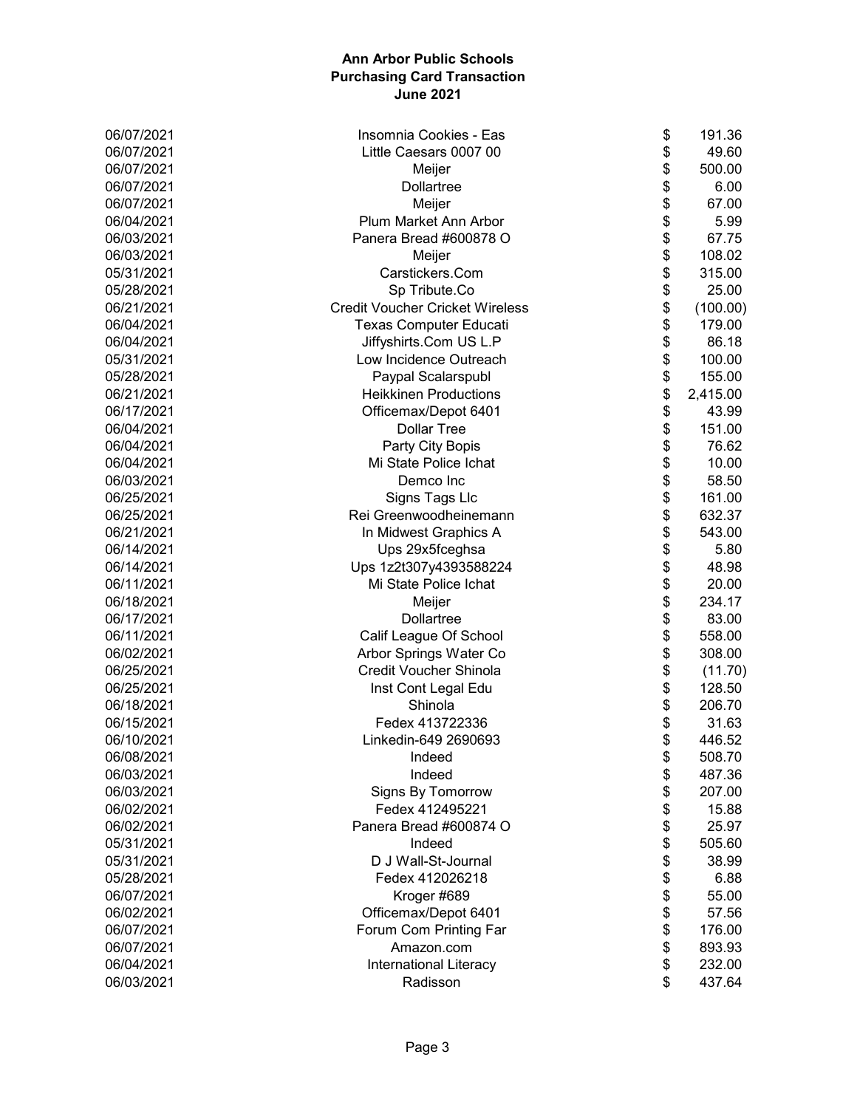| 06/07/2021 | Insomnia Cookies - Eas                 | \$<br>191.36   |
|------------|----------------------------------------|----------------|
| 06/07/2021 | Little Caesars 0007 00                 | \$<br>49.60    |
| 06/07/2021 | Meijer                                 | \$<br>500.00   |
| 06/07/2021 | Dollartree                             | \$<br>6.00     |
| 06/07/2021 | Meijer                                 | \$<br>67.00    |
| 06/04/2021 | Plum Market Ann Arbor                  | \$<br>5.99     |
| 06/03/2021 | Panera Bread #600878 O                 | \$<br>67.75    |
| 06/03/2021 | Meijer                                 | \$<br>108.02   |
| 05/31/2021 | Carstickers.Com                        | \$<br>315.00   |
| 05/28/2021 | Sp Tribute.Co                          | \$<br>25.00    |
| 06/21/2021 | <b>Credit Voucher Cricket Wireless</b> | \$<br>(100.00) |
| 06/04/2021 | <b>Texas Computer Educati</b>          | \$<br>179.00   |
| 06/04/2021 | Jiffyshirts.Com US L.P                 | \$<br>86.18    |
| 05/31/2021 | Low Incidence Outreach                 | \$<br>100.00   |
| 05/28/2021 | Paypal Scalarspubl                     | \$<br>155.00   |
| 06/21/2021 | <b>Heikkinen Productions</b>           | \$<br>2,415.00 |
| 06/17/2021 | Officemax/Depot 6401                   | \$<br>43.99    |
| 06/04/2021 | <b>Dollar Tree</b>                     | \$<br>151.00   |
| 06/04/2021 | Party City Bopis                       | \$<br>76.62    |
| 06/04/2021 | Mi State Police Ichat                  | \$<br>10.00    |
| 06/03/2021 | Demco Inc                              | \$<br>58.50    |
| 06/25/2021 | Signs Tags Llc                         | \$<br>161.00   |
| 06/25/2021 | Rei Greenwoodheinemann                 | \$<br>632.37   |
| 06/21/2021 | In Midwest Graphics A                  | \$<br>543.00   |
| 06/14/2021 | Ups 29x5fceghsa                        | \$<br>5.80     |
| 06/14/2021 | Ups 1z2t307y4393588224                 | \$<br>48.98    |
| 06/11/2021 | Mi State Police Ichat                  | \$<br>20.00    |
| 06/18/2021 | Meijer                                 | \$<br>234.17   |
| 06/17/2021 | <b>Dollartree</b>                      | \$<br>83.00    |
| 06/11/2021 | Calif League Of School                 | \$<br>558.00   |
| 06/02/2021 | Arbor Springs Water Co                 | \$<br>308.00   |
| 06/25/2021 | Credit Voucher Shinola                 | \$<br>(11.70)  |
| 06/25/2021 | Inst Cont Legal Edu                    | \$<br>128.50   |
| 06/18/2021 | Shinola                                | \$<br>206.70   |
| 06/15/2021 | Fedex 413722336                        | \$<br>31.63    |
| 06/10/2021 | Linkedin-649 2690693                   | \$<br>446.52   |
| 06/08/2021 | Indeed                                 | \$<br>508.70   |
| 06/03/2021 | Indeed                                 | \$<br>487.36   |
| 06/03/2021 | Signs By Tomorrow                      | \$<br>207.00   |
| 06/02/2021 | Fedex 412495221                        | \$<br>15.88    |
| 06/02/2021 | Panera Bread #600874 O                 | \$<br>25.97    |
| 05/31/2021 | Indeed                                 | \$<br>505.60   |
| 05/31/2021 | D J Wall-St-Journal                    | \$<br>38.99    |
| 05/28/2021 | Fedex 412026218                        | \$<br>6.88     |
| 06/07/2021 | Kroger #689                            | \$<br>55.00    |
| 06/02/2021 | Officemax/Depot 6401                   | \$<br>57.56    |
| 06/07/2021 | Forum Com Printing Far                 | \$<br>176.00   |
| 06/07/2021 | Amazon.com                             | \$<br>893.93   |
| 06/04/2021 | <b>International Literacy</b>          | \$<br>232.00   |
| 06/03/2021 | Radisson                               | \$<br>437.64   |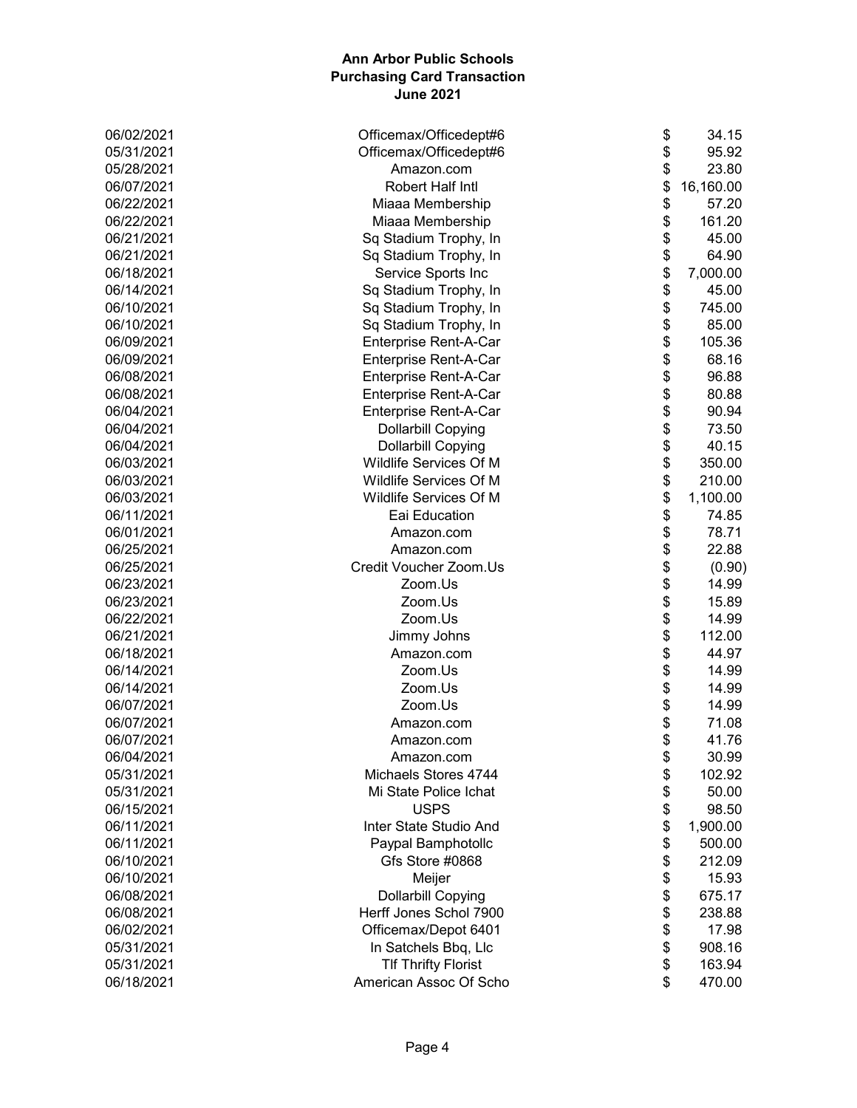| 06/02/2021 | Officemax/Officedept#6     | \$<br>34.15     |
|------------|----------------------------|-----------------|
| 05/31/2021 | Officemax/Officedept#6     | \$<br>95.92     |
| 05/28/2021 | Amazon.com                 | \$<br>23.80     |
| 06/07/2021 | Robert Half Intl           | \$<br>16,160.00 |
| 06/22/2021 | Miaaa Membership           | \$<br>57.20     |
| 06/22/2021 | Miaaa Membership           | \$<br>161.20    |
| 06/21/2021 | Sq Stadium Trophy, In      | \$<br>45.00     |
| 06/21/2021 | Sq Stadium Trophy, In      | \$<br>64.90     |
| 06/18/2021 | Service Sports Inc         | \$<br>7,000.00  |
| 06/14/2021 | Sq Stadium Trophy, In      | \$<br>45.00     |
| 06/10/2021 | Sq Stadium Trophy, In      | \$<br>745.00    |
| 06/10/2021 | Sq Stadium Trophy, In      | \$<br>85.00     |
| 06/09/2021 | Enterprise Rent-A-Car      | \$<br>105.36    |
| 06/09/2021 | Enterprise Rent-A-Car      | \$<br>68.16     |
| 06/08/2021 | Enterprise Rent-A-Car      | \$<br>96.88     |
| 06/08/2021 | Enterprise Rent-A-Car      | \$<br>80.88     |
| 06/04/2021 | Enterprise Rent-A-Car      | \$<br>90.94     |
| 06/04/2021 | <b>Dollarbill Copying</b>  | \$<br>73.50     |
| 06/04/2021 | <b>Dollarbill Copying</b>  | \$<br>40.15     |
| 06/03/2021 | Wildlife Services Of M     | \$<br>350.00    |
| 06/03/2021 | Wildlife Services Of M     | \$<br>210.00    |
| 06/03/2021 | Wildlife Services Of M     | \$<br>1,100.00  |
| 06/11/2021 | Eai Education              | \$<br>74.85     |
| 06/01/2021 | Amazon.com                 | \$<br>78.71     |
| 06/25/2021 | Amazon.com                 | \$<br>22.88     |
| 06/25/2021 | Credit Voucher Zoom.Us     | \$<br>(0.90)    |
| 06/23/2021 | Zoom.Us                    | \$<br>14.99     |
| 06/23/2021 | Zoom.Us                    | \$<br>15.89     |
| 06/22/2021 | Zoom.Us                    | \$<br>14.99     |
| 06/21/2021 | Jimmy Johns                | \$<br>112.00    |
| 06/18/2021 | Amazon.com                 | \$<br>44.97     |
| 06/14/2021 | Zoom.Us                    | \$<br>14.99     |
| 06/14/2021 | Zoom.Us                    | \$<br>14.99     |
| 06/07/2021 | Zoom.Us                    | \$<br>14.99     |
| 06/07/2021 | Amazon.com                 | \$<br>71.08     |
| 06/07/2021 | Amazon.com                 | \$<br>41.76     |
| 06/04/2021 | Amazon.com                 | \$<br>30.99     |
| 05/31/2021 | Michaels Stores 4744       | \$<br>102.92    |
| 05/31/2021 | Mi State Police Ichat      | \$<br>50.00     |
| 06/15/2021 | <b>USPS</b>                | \$<br>98.50     |
| 06/11/2021 | Inter State Studio And     | \$<br>1,900.00  |
| 06/11/2021 | Paypal Bamphotollc         | \$<br>500.00    |
| 06/10/2021 | Gfs Store #0868            | \$<br>212.09    |
| 06/10/2021 | Meijer                     | \$<br>15.93     |
| 06/08/2021 | <b>Dollarbill Copying</b>  | \$<br>675.17    |
| 06/08/2021 | Herff Jones Schol 7900     | \$<br>238.88    |
| 06/02/2021 | Officemax/Depot 6401       | \$<br>17.98     |
| 05/31/2021 | In Satchels Bbq, Llc       | \$<br>908.16    |
| 05/31/2021 | <b>TIf Thrifty Florist</b> | \$<br>163.94    |
| 06/18/2021 | American Assoc Of Scho     | \$<br>470.00    |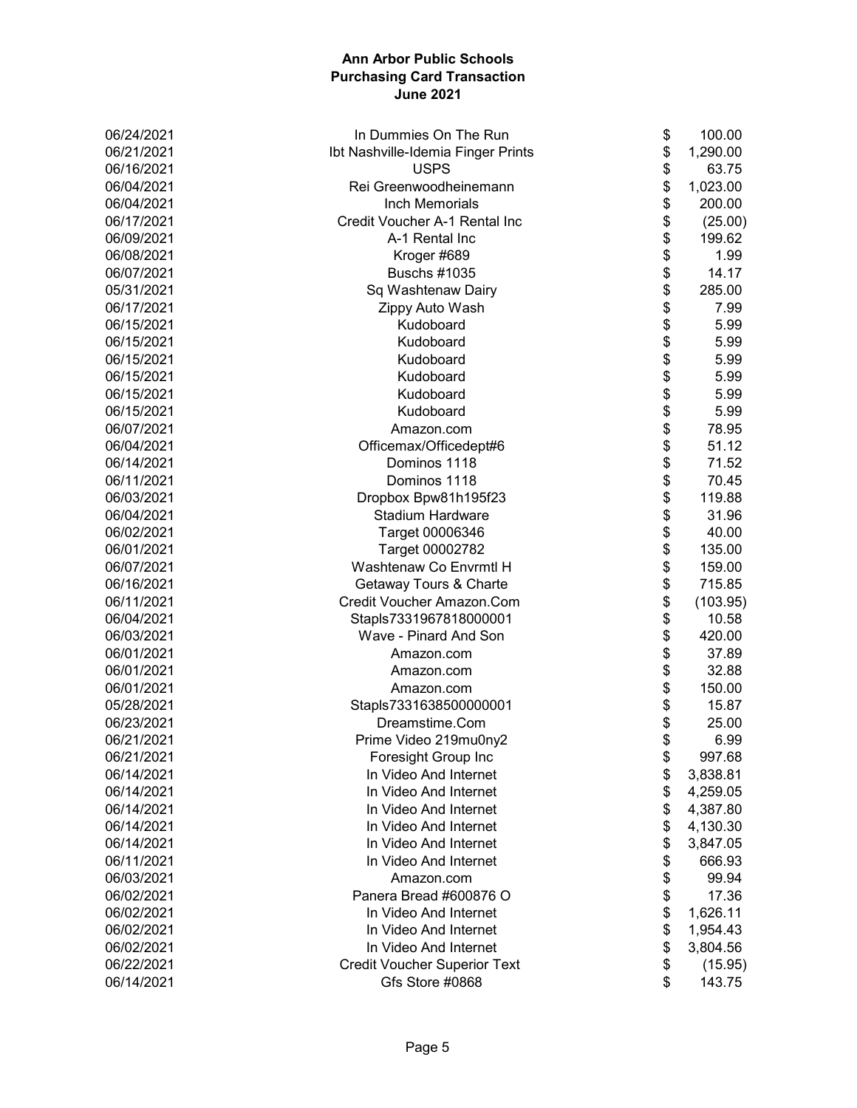| 06/24/2021 | In Dummies On The Run               | \$<br>100.00   |
|------------|-------------------------------------|----------------|
| 06/21/2021 | Ibt Nashville-Idemia Finger Prints  | \$<br>1,290.00 |
| 06/16/2021 | <b>USPS</b>                         | \$<br>63.75    |
| 06/04/2021 | Rei Greenwoodheinemann              | \$<br>1,023.00 |
| 06/04/2021 | Inch Memorials                      | \$<br>200.00   |
| 06/17/2021 | Credit Voucher A-1 Rental Inc       | \$<br>(25.00)  |
| 06/09/2021 | A-1 Rental Inc                      | \$<br>199.62   |
| 06/08/2021 | Kroger #689                         | \$<br>1.99     |
| 06/07/2021 | <b>Buschs #1035</b>                 | \$<br>14.17    |
| 05/31/2021 | Sq Washtenaw Dairy                  | \$<br>285.00   |
| 06/17/2021 | Zippy Auto Wash                     | \$<br>7.99     |
| 06/15/2021 | Kudoboard                           | \$<br>5.99     |
| 06/15/2021 | Kudoboard                           | \$<br>5.99     |
| 06/15/2021 | Kudoboard                           | \$<br>5.99     |
| 06/15/2021 | Kudoboard                           | \$<br>5.99     |
| 06/15/2021 | Kudoboard                           | \$<br>5.99     |
| 06/15/2021 | Kudoboard                           | \$<br>5.99     |
| 06/07/2021 | Amazon.com                          | \$<br>78.95    |
| 06/04/2021 | Officemax/Officedept#6              | \$<br>51.12    |
| 06/14/2021 | Dominos 1118                        | \$<br>71.52    |
| 06/11/2021 | Dominos 1118                        | \$<br>70.45    |
| 06/03/2021 | Dropbox Bpw81h195f23                | \$<br>119.88   |
| 06/04/2021 | Stadium Hardware                    | \$<br>31.96    |
| 06/02/2021 | Target 00006346                     | \$<br>40.00    |
| 06/01/2021 | Target 00002782                     | \$<br>135.00   |
| 06/07/2021 | Washtenaw Co Envrmtl H              | \$<br>159.00   |
| 06/16/2021 | Getaway Tours & Charte              | \$<br>715.85   |
| 06/11/2021 | Credit Voucher Amazon.Com           | \$<br>(103.95) |
| 06/04/2021 | Stapls7331967818000001              | \$<br>10.58    |
| 06/03/2021 | Wave - Pinard And Son               | \$<br>420.00   |
| 06/01/2021 | Amazon.com                          | \$<br>37.89    |
| 06/01/2021 | Amazon.com                          | \$<br>32.88    |
| 06/01/2021 | Amazon.com                          | \$<br>150.00   |
| 05/28/2021 | Stapls7331638500000001              | \$<br>15.87    |
| 06/23/2021 | Dreamstime.Com                      | \$<br>25.00    |
| 06/21/2021 | Prime Video 219mu0ny2               | \$<br>6.99     |
| 06/21/2021 | Foresight Group Inc                 | \$<br>997.68   |
| 06/14/2021 | In Video And Internet               | \$<br>3,838.81 |
| 06/14/2021 | In Video And Internet               | \$<br>4,259.05 |
| 06/14/2021 | In Video And Internet               | \$<br>4,387.80 |
| 06/14/2021 | In Video And Internet               | \$<br>4,130.30 |
| 06/14/2021 | In Video And Internet               | \$<br>3,847.05 |
| 06/11/2021 | In Video And Internet               | \$<br>666.93   |
| 06/03/2021 | Amazon.com                          | \$<br>99.94    |
| 06/02/2021 | Panera Bread #600876 O              | \$<br>17.36    |
| 06/02/2021 | In Video And Internet               | \$<br>1,626.11 |
| 06/02/2021 | In Video And Internet               | \$<br>1,954.43 |
| 06/02/2021 | In Video And Internet               | \$<br>3,804.56 |
| 06/22/2021 | <b>Credit Voucher Superior Text</b> | \$<br>(15.95)  |
| 06/14/2021 | Gfs Store #0868                     | \$<br>143.75   |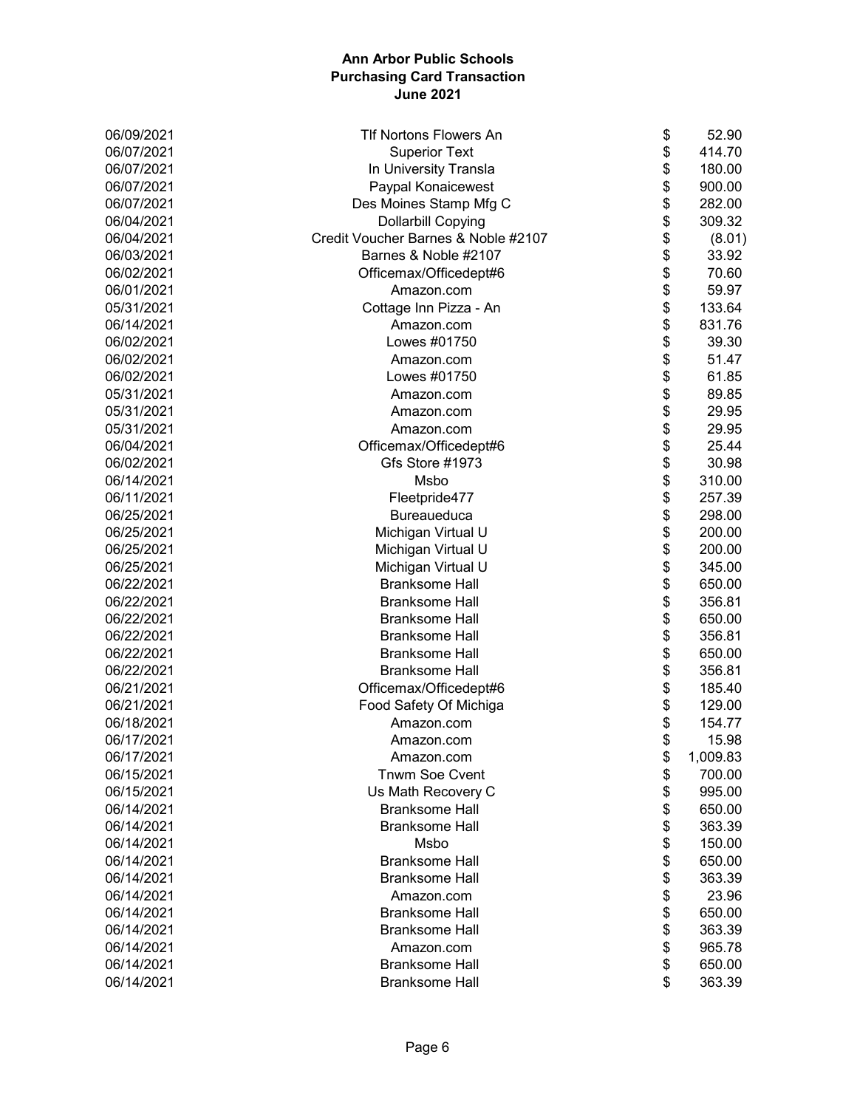| 06/09/2021 | TIf Nortons Flowers An              | \$<br>52.90    |
|------------|-------------------------------------|----------------|
| 06/07/2021 | <b>Superior Text</b>                | \$<br>414.70   |
| 06/07/2021 | In University Transla               | \$<br>180.00   |
| 06/07/2021 | Paypal Konaicewest                  | \$<br>900.00   |
| 06/07/2021 | Des Moines Stamp Mfg C              | \$<br>282.00   |
| 06/04/2021 | <b>Dollarbill Copying</b>           | \$<br>309.32   |
| 06/04/2021 | Credit Voucher Barnes & Noble #2107 | \$<br>(8.01)   |
| 06/03/2021 | Barnes & Noble #2107                | \$<br>33.92    |
| 06/02/2021 | Officemax/Officedept#6              | \$<br>70.60    |
| 06/01/2021 | Amazon.com                          | \$<br>59.97    |
| 05/31/2021 | Cottage Inn Pizza - An              | \$<br>133.64   |
| 06/14/2021 | Amazon.com                          | \$<br>831.76   |
| 06/02/2021 | Lowes #01750                        | \$<br>39.30    |
| 06/02/2021 | Amazon.com                          | \$<br>51.47    |
| 06/02/2021 | Lowes #01750                        | \$<br>61.85    |
| 05/31/2021 | Amazon.com                          | \$<br>89.85    |
| 05/31/2021 | Amazon.com                          | \$<br>29.95    |
| 05/31/2021 | Amazon.com                          | \$<br>29.95    |
| 06/04/2021 | Officemax/Officedept#6              | \$<br>25.44    |
| 06/02/2021 | Gfs Store #1973                     | \$<br>30.98    |
| 06/14/2021 | Msbo                                | \$<br>310.00   |
| 06/11/2021 | Fleetpride477                       | \$<br>257.39   |
| 06/25/2021 | Bureaueduca                         | \$<br>298.00   |
| 06/25/2021 | Michigan Virtual U                  | \$<br>200.00   |
| 06/25/2021 | Michigan Virtual U                  | \$<br>200.00   |
| 06/25/2021 | Michigan Virtual U                  | \$<br>345.00   |
| 06/22/2021 | <b>Branksome Hall</b>               | \$<br>650.00   |
| 06/22/2021 | <b>Branksome Hall</b>               | \$<br>356.81   |
| 06/22/2021 | <b>Branksome Hall</b>               | \$<br>650.00   |
| 06/22/2021 | <b>Branksome Hall</b>               | \$<br>356.81   |
| 06/22/2021 | <b>Branksome Hall</b>               | \$<br>650.00   |
| 06/22/2021 | <b>Branksome Hall</b>               | \$<br>356.81   |
| 06/21/2021 | Officemax/Officedept#6              | \$<br>185.40   |
| 06/21/2021 | Food Safety Of Michiga              | \$<br>129.00   |
| 06/18/2021 | Amazon.com                          | \$<br>154.77   |
| 06/17/2021 | Amazon.com                          | \$<br>15.98    |
| 06/17/2021 | Amazon.com                          | \$<br>1,009.83 |
| 06/15/2021 | Tnwm Soe Cvent                      | \$<br>700.00   |
| 06/15/2021 | Us Math Recovery C                  | \$<br>995.00   |
| 06/14/2021 | <b>Branksome Hall</b>               | \$<br>650.00   |
| 06/14/2021 | <b>Branksome Hall</b>               | \$<br>363.39   |
| 06/14/2021 | Msbo                                | \$<br>150.00   |
| 06/14/2021 | <b>Branksome Hall</b>               | \$<br>650.00   |
| 06/14/2021 | <b>Branksome Hall</b>               | \$<br>363.39   |
| 06/14/2021 | Amazon.com                          | \$<br>23.96    |
| 06/14/2021 | <b>Branksome Hall</b>               | \$<br>650.00   |
| 06/14/2021 | <b>Branksome Hall</b>               | \$<br>363.39   |
| 06/14/2021 | Amazon.com                          | \$<br>965.78   |
| 06/14/2021 | <b>Branksome Hall</b>               | \$<br>650.00   |
| 06/14/2021 | <b>Branksome Hall</b>               | \$<br>363.39   |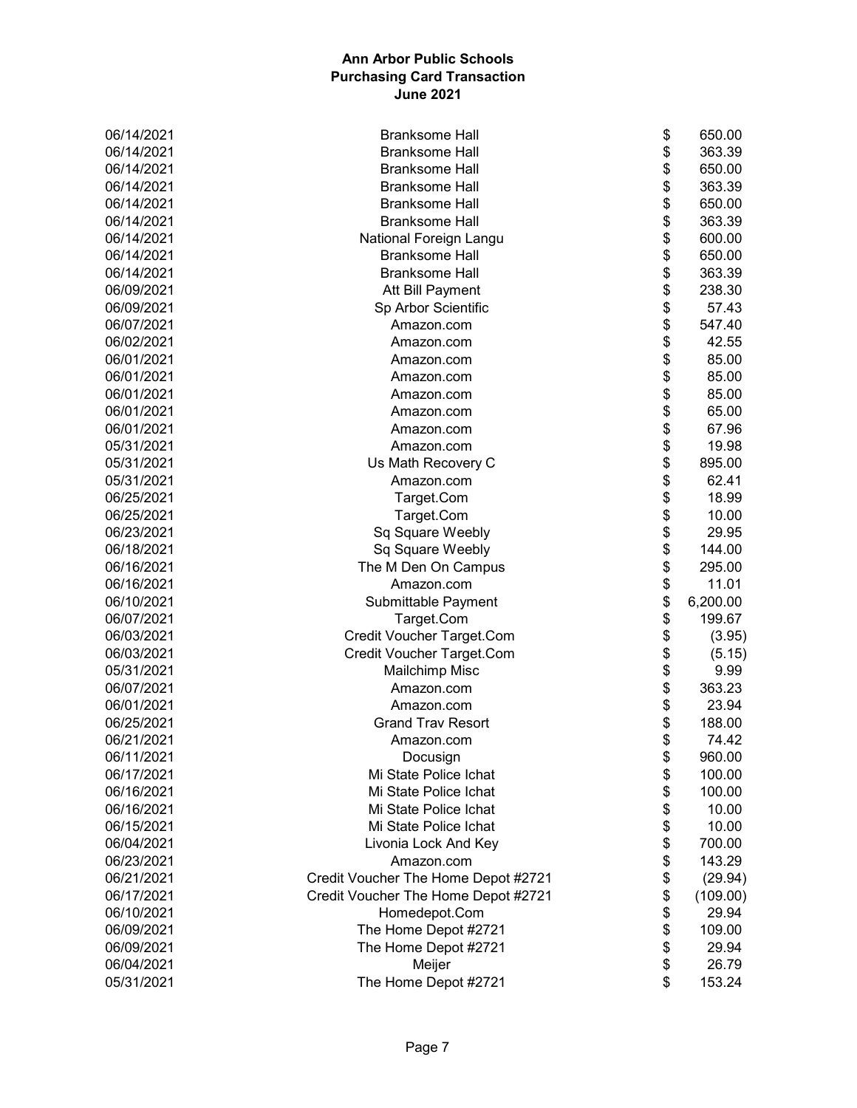| 06/14/2021 | <b>Branksome Hall</b>               | \$       | 650.00            |
|------------|-------------------------------------|----------|-------------------|
| 06/14/2021 | <b>Branksome Hall</b>               | \$       | 363.39            |
| 06/14/2021 | <b>Branksome Hall</b>               | \$       | 650.00            |
| 06/14/2021 | <b>Branksome Hall</b>               | \$       | 363.39            |
| 06/14/2021 | <b>Branksome Hall</b>               | \$       | 650.00            |
| 06/14/2021 | <b>Branksome Hall</b>               | \$       | 363.39            |
| 06/14/2021 | National Foreign Langu              | \$       | 600.00            |
| 06/14/2021 | <b>Branksome Hall</b>               | \$       | 650.00            |
| 06/14/2021 | <b>Branksome Hall</b>               | \$       | 363.39            |
| 06/09/2021 | Att Bill Payment                    | \$       | 238.30            |
| 06/09/2021 | Sp Arbor Scientific                 | \$       | 57.43             |
| 06/07/2021 | Amazon.com                          | \$       | 547.40            |
| 06/02/2021 | Amazon.com                          | \$       | 42.55             |
| 06/01/2021 | Amazon.com                          | \$       | 85.00             |
| 06/01/2021 | Amazon.com                          | \$       | 85.00             |
| 06/01/2021 | Amazon.com                          | \$       | 85.00             |
| 06/01/2021 | Amazon.com                          | \$       | 65.00             |
| 06/01/2021 | Amazon.com                          | \$       | 67.96             |
| 05/31/2021 | Amazon.com                          | \$       | 19.98             |
| 05/31/2021 | Us Math Recovery C                  | \$       | 895.00            |
| 05/31/2021 | Amazon.com                          | \$       | 62.41             |
| 06/25/2021 | Target.Com                          | \$       | 18.99             |
| 06/25/2021 | Target.Com                          | \$       | 10.00             |
| 06/23/2021 | Sq Square Weebly                    | \$       | 29.95             |
| 06/18/2021 | Sq Square Weebly                    | \$       | 144.00            |
| 06/16/2021 | The M Den On Campus                 | \$       | 295.00            |
| 06/16/2021 | Amazon.com                          | \$       | 11.01             |
| 06/10/2021 | Submittable Payment                 | \$       | 6,200.00          |
| 06/07/2021 | Target.Com                          | \$       | 199.67            |
| 06/03/2021 | Credit Voucher Target.Com           | \$       | (3.95)            |
| 06/03/2021 | Credit Voucher Target.Com           | \$       | (5.15)            |
| 05/31/2021 | <b>Mailchimp Misc</b>               | \$       | 9.99              |
| 06/07/2021 | Amazon.com                          | \$       | 363.23            |
| 06/01/2021 | Amazon.com                          | \$       | 23.94             |
| 06/25/2021 | <b>Grand Trav Resort</b>            | \$       | 188.00            |
| 06/21/2021 | Amazon.com                          | \$       | 74.42             |
| 06/11/2021 | Docusign                            |          | 960.00            |
| 06/17/2021 | Mi State Police Ichat               | \$<br>\$ | 100.00            |
| 06/16/2021 | Mi State Police Ichat               | \$       | 100.00            |
| 06/16/2021 | Mi State Police Ichat               | \$       | 10.00             |
| 06/15/2021 | Mi State Police Ichat               |          | 10.00             |
| 06/04/2021 |                                     | \$       | 700.00            |
| 06/23/2021 | Livonia Lock And Key<br>Amazon.com  | \$<br>\$ | 143.29            |
| 06/21/2021 | Credit Voucher The Home Depot #2721 |          | (29.94)           |
| 06/17/2021 |                                     | \$       |                   |
| 06/10/2021 | Credit Voucher The Home Depot #2721 | \$       | (109.00)<br>29.94 |
|            | Homedepot.Com                       | \$       |                   |
| 06/09/2021 | The Home Depot #2721                | \$       | 109.00            |
| 06/09/2021 | The Home Depot #2721                | \$       | 29.94             |
| 06/04/2021 | Meijer                              | \$       | 26.79             |
| 05/31/2021 | The Home Depot #2721                | \$       | 153.24            |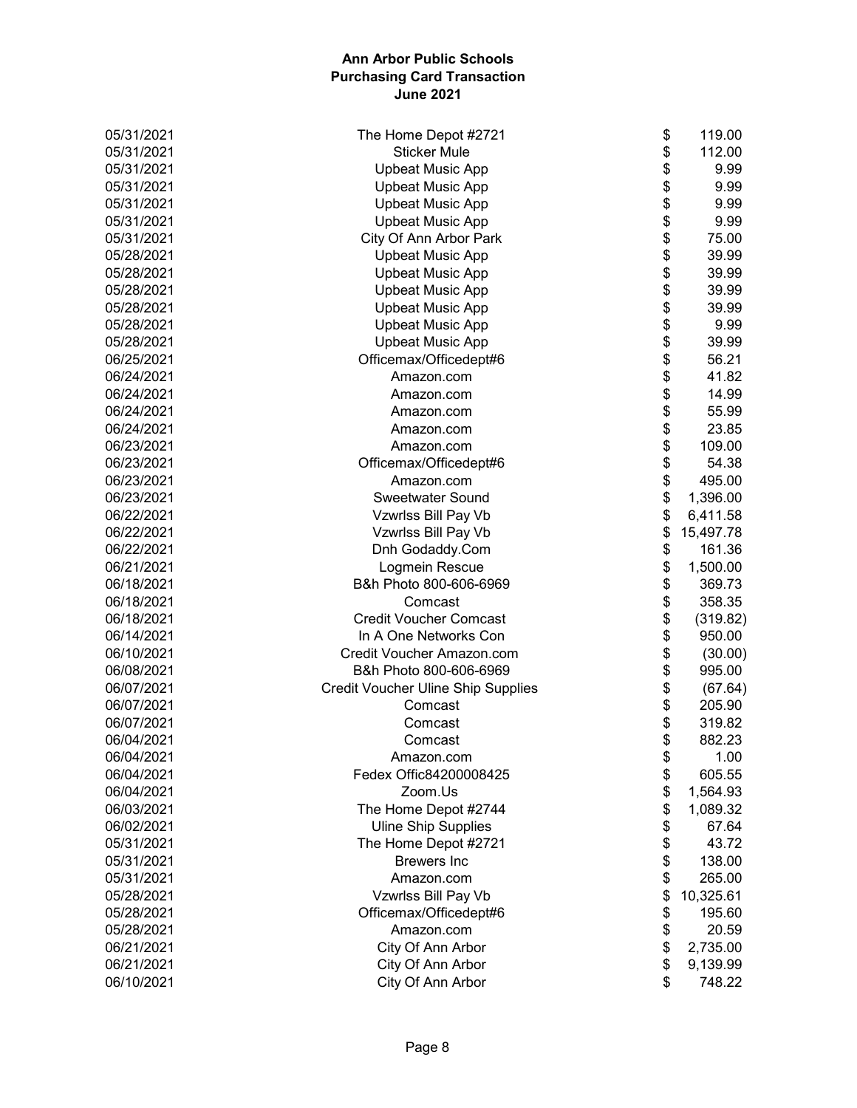| 05/31/2021 | \$<br>The Home Depot #2721                      | 119.00    |
|------------|-------------------------------------------------|-----------|
| 05/31/2021 | \$<br><b>Sticker Mule</b>                       | 112.00    |
| 05/31/2021 | \$<br><b>Upbeat Music App</b>                   | 9.99      |
| 05/31/2021 | \$<br><b>Upbeat Music App</b>                   | 9.99      |
| 05/31/2021 | \$<br><b>Upbeat Music App</b>                   | 9.99      |
| 05/31/2021 | \$<br><b>Upbeat Music App</b>                   | 9.99      |
| 05/31/2021 | \$<br>City Of Ann Arbor Park                    | 75.00     |
| 05/28/2021 | \$<br><b>Upbeat Music App</b>                   | 39.99     |
| 05/28/2021 | \$<br><b>Upbeat Music App</b>                   | 39.99     |
| 05/28/2021 | \$<br><b>Upbeat Music App</b>                   | 39.99     |
| 05/28/2021 | \$<br><b>Upbeat Music App</b>                   | 39.99     |
| 05/28/2021 | \$<br><b>Upbeat Music App</b>                   | 9.99      |
| 05/28/2021 | \$<br><b>Upbeat Music App</b>                   | 39.99     |
| 06/25/2021 | \$<br>Officemax/Officedept#6                    | 56.21     |
| 06/24/2021 | \$<br>Amazon.com                                | 41.82     |
| 06/24/2021 | \$<br>Amazon.com                                | 14.99     |
| 06/24/2021 | \$<br>Amazon.com                                | 55.99     |
| 06/24/2021 | \$<br>Amazon.com                                | 23.85     |
| 06/23/2021 | \$<br>Amazon.com                                | 109.00    |
| 06/23/2021 | \$<br>Officemax/Officedept#6                    | 54.38     |
| 06/23/2021 | \$<br>Amazon.com                                | 495.00    |
| 06/23/2021 | \$<br><b>Sweetwater Sound</b>                   | 1,396.00  |
| 06/22/2021 | \$<br>Vzwrlss Bill Pay Vb                       | 6,411.58  |
| 06/22/2021 | \$<br>Vzwrlss Bill Pay Vb                       | 15,497.78 |
| 06/22/2021 | \$<br>Dnh Godaddy.Com                           | 161.36    |
| 06/21/2021 | \$<br>Logmein Rescue                            | 1,500.00  |
| 06/18/2021 | \$<br>B&h Photo 800-606-6969                    | 369.73    |
| 06/18/2021 | \$<br>Comcast                                   | 358.35    |
| 06/18/2021 | \$<br><b>Credit Voucher Comcast</b>             | (319.82)  |
| 06/14/2021 | \$<br>In A One Networks Con                     | 950.00    |
| 06/10/2021 | \$<br>Credit Voucher Amazon.com                 | (30.00)   |
| 06/08/2021 | \$<br>B&h Photo 800-606-6969                    | 995.00    |
| 06/07/2021 | \$<br><b>Credit Voucher Uline Ship Supplies</b> | (67.64)   |
| 06/07/2021 | \$<br>Comcast                                   | 205.90    |
| 06/07/2021 | \$<br>Comcast                                   | 319.82    |
| 06/04/2021 | \$<br>Comcast                                   | 882.23    |
| 06/04/2021 | \$<br>Amazon.com                                | 1.00      |
| 06/04/2021 | \$<br>Fedex Offic84200008425                    | 605.55    |
| 06/04/2021 | \$<br>Zoom.Us                                   | 1,564.93  |
| 06/03/2021 | \$<br>The Home Depot #2744                      | 1,089.32  |
| 06/02/2021 | \$<br><b>Uline Ship Supplies</b>                | 67.64     |
| 05/31/2021 | \$<br>The Home Depot #2721                      | 43.72     |
| 05/31/2021 | \$<br><b>Brewers</b> Inc                        | 138.00    |
| 05/31/2021 | \$<br>Amazon.com                                | 265.00    |
| 05/28/2021 | \$<br>Vzwrlss Bill Pay Vb                       | 10,325.61 |
| 05/28/2021 | \$<br>Officemax/Officedept#6                    | 195.60    |
| 05/28/2021 | \$<br>Amazon.com                                | 20.59     |
| 06/21/2021 | \$<br>City Of Ann Arbor                         | 2,735.00  |
| 06/21/2021 | \$<br>City Of Ann Arbor                         | 9,139.99  |
| 06/10/2021 | City Of Ann Arbor<br>\$                         | 748.22    |